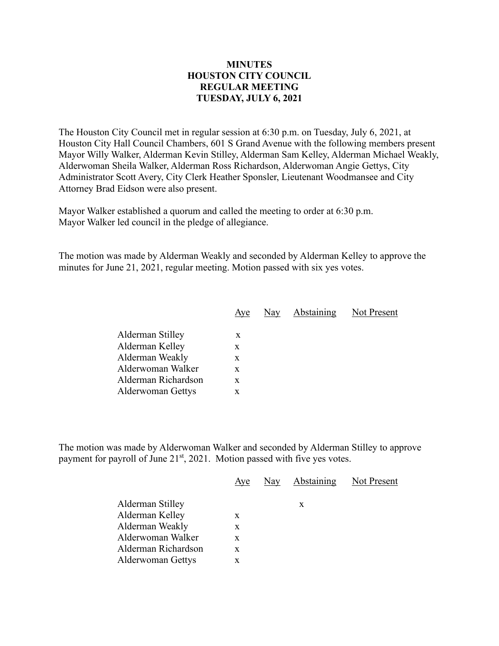## **MINUTES HOUSTON CITY COUNCIL REGULAR MEETING TUESDAY, JULY 6, 2021**

The Houston City Council met in regular session at 6:30 p.m. on Tuesday, July 6, 2021, at Houston City Hall Council Chambers, 601 S Grand Avenue with the following members present Mayor Willy Walker, Alderman Kevin Stilley, Alderman Sam Kelley, Alderman Michael Weakly, Alderwoman Sheila Walker, Alderman Ross Richardson, Alderwoman Angie Gettys, City Administrator Scott Avery, City Clerk Heather Sponsler, Lieutenant Woodmansee and City Attorney Brad Eidson were also present.

Mayor Walker established a quorum and called the meeting to order at 6:30 p.m. Mayor Walker led council in the pledge of allegiance.

The motion was made by Alderman Weakly and seconded by Alderman Kelley to approve the minutes for June 21, 2021, regular meeting. Motion passed with six yes votes.

| Aye | Nay | Abstaining | Not Present |
|-----|-----|------------|-------------|
|     |     |            |             |
| X   |     |            |             |
| X   |     |            |             |
| X   |     |            |             |
| X   |     |            |             |
| X   |     |            |             |
| x   |     |            |             |
|     |     |            |             |

The motion was made by Alderwoman Walker and seconded by Alderman Stilley to approve payment for payroll of June  $21<sup>st</sup>$ , 2021. Motion passed with five yes votes.

|                          | Aye | Nay Abstaining Not Present |  |
|--------------------------|-----|----------------------------|--|
| Alderman Stilley         |     | X                          |  |
| Alderman Kelley          | X   |                            |  |
| Alderman Weakly          | X   |                            |  |
| Alderwoman Walker        | X   |                            |  |
| Alderman Richardson      | X   |                            |  |
| <b>Alderwoman Gettys</b> | X   |                            |  |
|                          |     |                            |  |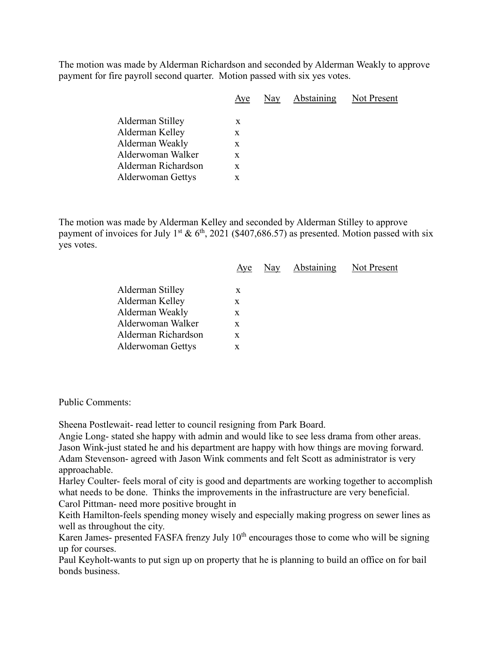The motion was made by Alderman Richardson and seconded by Alderman Weakly to approve payment for fire payroll second quarter. Motion passed with six yes votes.

| Aye | Nay | Abstaining | Not Present |
|-----|-----|------------|-------------|
|     |     |            |             |
| X   |     |            |             |
| X   |     |            |             |
| X   |     |            |             |
| X   |     |            |             |
| X   |     |            |             |
|     | X   |            |             |

The motion was made by Alderman Kelley and seconded by Alderman Stilley to approve payment of invoices for July 1<sup>st</sup> & 6<sup>th</sup>, 2021 (\$407,686.57) as presented. Motion passed with six yes votes.

|                     | Aye | Nay Abstaining | Not Present |
|---------------------|-----|----------------|-------------|
| Alderman Stilley    | X   |                |             |
| Alderman Kelley     | X   |                |             |
| Alderman Weakly     | X   |                |             |
| Alderwoman Walker   | X   |                |             |
| Alderman Richardson | X   |                |             |
| Alderwoman Gettys   | X   |                |             |
|                     |     |                |             |

Public Comments:

Sheena Postlewait- read letter to council resigning from Park Board.

Angie Long- stated she happy with admin and would like to see less drama from other areas. Jason Wink-just stated he and his department are happy with how things are moving forward. Adam Stevenson- agreed with Jason Wink comments and felt Scott as administrator is very approachable.

Harley Coulter- feels moral of city is good and departments are working together to accomplish what needs to be done. Thinks the improvements in the infrastructure are very beneficial.

Carol Pittman- need more positive brought in

Keith Hamilton-feels spending money wisely and especially making progress on sewer lines as well as throughout the city.

Karen James- presented FASFA frenzy July  $10<sup>th</sup>$  encourages those to come who will be signing up for courses.

Paul Keyholt-wants to put sign up on property that he is planning to build an office on for bail bonds business.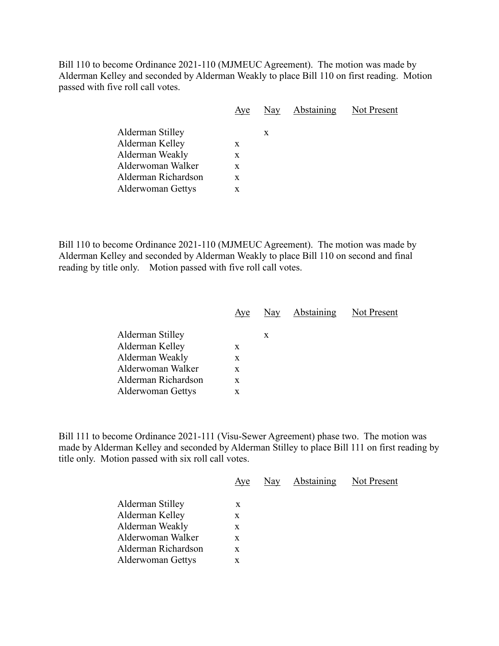Bill 110 to become Ordinance 2021-110 (MJMEUC Agreement). The motion was made by Alderman Kelley and seconded by Alderman Weakly to place Bill 110 on first reading. Motion passed with five roll call votes.

|                                          | Aye    | Nay | <b>Abstaining</b> Not Present |  |
|------------------------------------------|--------|-----|-------------------------------|--|
| Alderman Stilley<br>Alderman Kelley      | X      | X   |                               |  |
| Alderman Weakly                          | X      |     |                               |  |
| Alderwoman Walker                        | X      |     |                               |  |
| Alderman Richardson<br>Alderwoman Gettys | X<br>X |     |                               |  |
|                                          |        |     |                               |  |

Bill 110 to become Ordinance 2021-110 (MJMEUC Agreement). The motion was made by Alderman Kelley and seconded by Alderman Weakly to place Bill 110 on second and final reading by title only. Motion passed with five roll call votes.

|                          | Aye | Nay | Abstaining | Not Present |
|--------------------------|-----|-----|------------|-------------|
| Alderman Stilley         |     | X   |            |             |
| Alderman Kelley          | X   |     |            |             |
| Alderman Weakly          | X   |     |            |             |
| Alderwoman Walker        | X   |     |            |             |
| Alderman Richardson      | X   |     |            |             |
| <b>Alderwoman Gettys</b> | X   |     |            |             |

Bill 111 to become Ordinance 2021-111 (Visu-Sewer Agreement) phase two. The motion was made by Alderman Kelley and seconded by Alderman Stilley to place Bill 111 on first reading by title only. Motion passed with six roll call votes.

|                          | Aye | Nay Abstaining Not Present |  |
|--------------------------|-----|----------------------------|--|
| Alderman Stilley         | X   |                            |  |
|                          |     |                            |  |
| Alderman Kelley          | X   |                            |  |
| Alderman Weakly          | X   |                            |  |
| Alderwoman Walker        | X   |                            |  |
| Alderman Richardson      | X   |                            |  |
| <b>Alderwoman Gettys</b> | X   |                            |  |
|                          |     |                            |  |